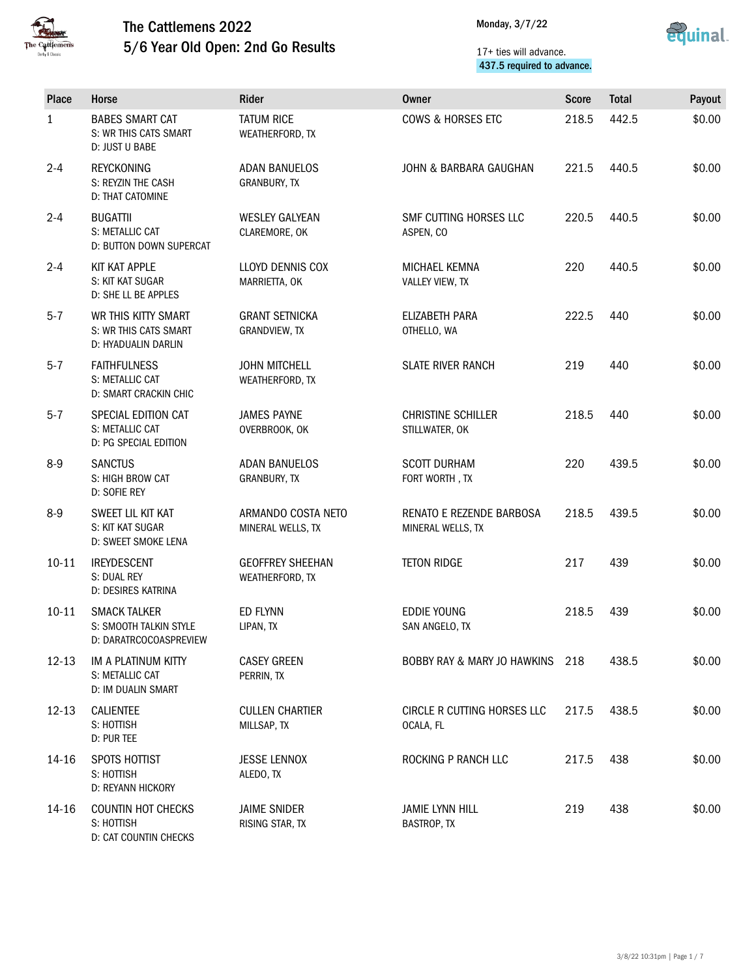



#### 17+ ties will advance. 437.5 required to advance.

| <b>Place</b> | Horse                                                                   | Rider                                      | Owner                                         | <b>Score</b> | <b>Total</b> | Payout |
|--------------|-------------------------------------------------------------------------|--------------------------------------------|-----------------------------------------------|--------------|--------------|--------|
| $\mathbf{1}$ | <b>BABES SMART CAT</b><br>S: WR THIS CATS SMART<br>D: JUST U BABE       | <b>TATUM RICE</b><br>WEATHERFORD, TX       | <b>COWS &amp; HORSES ETC</b>                  | 218.5        | 442.5        | \$0.00 |
| $2 - 4$      | <b>REYCKONING</b><br>S: REYZIN THE CASH<br>D: THAT CATOMINE             | <b>ADAN BANUELOS</b><br>GRANBURY, TX       | JOHN & BARBARA GAUGHAN                        | 221.5        | 440.5        | \$0.00 |
| $2 - 4$      | <b>BUGATTII</b><br>S: METALLIC CAT<br>D: BUTTON DOWN SUPERCAT           | <b>WESLEY GALYEAN</b><br>CLAREMORE, OK     | SMF CUTTING HORSES LLC<br>ASPEN, CO           | 220.5        | 440.5        | \$0.00 |
| $2 - 4$      | KIT KAT APPLE<br>S: KIT KAT SUGAR<br>D: SHE LL BE APPLES                | LLOYD DENNIS COX<br>MARRIETTA, OK          | MICHAEL KEMNA<br>VALLEY VIEW, TX              | 220          | 440.5        | \$0.00 |
| $5 - 7$      | WR THIS KITTY SMART<br>S: WR THIS CATS SMART<br>D: HYADUALIN DARLIN     | <b>GRANT SETNICKA</b><br>GRANDVIEW, TX     | ELIZABETH PARA<br>OTHELLO, WA                 | 222.5        | 440          | \$0.00 |
| $5 - 7$      | <b>FAITHFULNESS</b><br>S: METALLIC CAT<br><b>D: SMART CRACKIN CHIC</b>  | <b>JOHN MITCHELL</b><br>WEATHERFORD, TX    | <b>SLATE RIVER RANCH</b>                      | 219          | 440          | \$0.00 |
| $5 - 7$      | SPECIAL EDITION CAT<br>S: METALLIC CAT<br>D: PG SPECIAL EDITION         | <b>JAMES PAYNE</b><br>OVERBROOK, OK        | <b>CHRISTINE SCHILLER</b><br>STILLWATER, OK   | 218.5        | 440          | \$0.00 |
| $8-9$        | <b>SANCTUS</b><br>S: HIGH BROW CAT<br>D: SOFIE REY                      | <b>ADAN BANUELOS</b><br>GRANBURY, TX       | <b>SCOTT DURHAM</b><br>FORT WORTH, TX         | 220          | 439.5        | \$0.00 |
| $8-9$        | SWEET LIL KIT KAT<br>S: KIT KAT SUGAR<br>D: SWEET SMOKE LENA            | ARMANDO COSTA NETO<br>MINERAL WELLS, TX    | RENATO E REZENDE BARBOSA<br>MINERAL WELLS, TX | 218.5        | 439.5        | \$0.00 |
| $10 - 11$    | <b>IREYDESCENT</b><br>S: DUAL REY<br>D: DESIRES KATRINA                 | <b>GEOFFREY SHEEHAN</b><br>WEATHERFORD, TX | <b>TETON RIDGE</b>                            | 217          | 439          | \$0.00 |
| $10 - 11$    | <b>SMACK TALKER</b><br>S: SMOOTH TALKIN STYLE<br>D: DARATRCOCOASPREVIEW | ED FLYNN<br>LIPAN, TX                      | <b>EDDIE YOUNG</b><br>SAN ANGELO, TX          | 218.5        | 439          | \$0.00 |
| $12 - 13$    | IM A PLATINUM KITTY<br>S: METALLIC CAT<br>D: IM DUALIN SMART            | <b>CASEY GREEN</b><br>PERRIN, TX           | BOBBY RAY & MARY JO HAWKINS                   | 218          | 438.5        | \$0.00 |
| $12 - 13$    | <b>CALIENTEE</b><br>S: HOTTISH<br>D: PUR TEE                            | <b>CULLEN CHARTIER</b><br>MILLSAP, TX      | CIRCLE R CUTTING HORSES LLC<br>OCALA, FL      | 217.5        | 438.5        | \$0.00 |
| 14-16        | SPOTS HOTTIST<br>S: HOTTISH<br>D: REYANN HICKORY                        | <b>JESSE LENNOX</b><br>ALEDO, TX           | ROCKING P RANCH LLC                           | 217.5        | 438          | \$0.00 |
| 14-16        | <b>COUNTIN HOT CHECKS</b><br>S: HOTTISH<br>D: CAT COUNTIN CHECKS        | <b>JAIME SNIDER</b><br>RISING STAR, TX     | <b>JAMIE LYNN HILL</b><br>BASTROP, TX         | 219          | 438          | \$0.00 |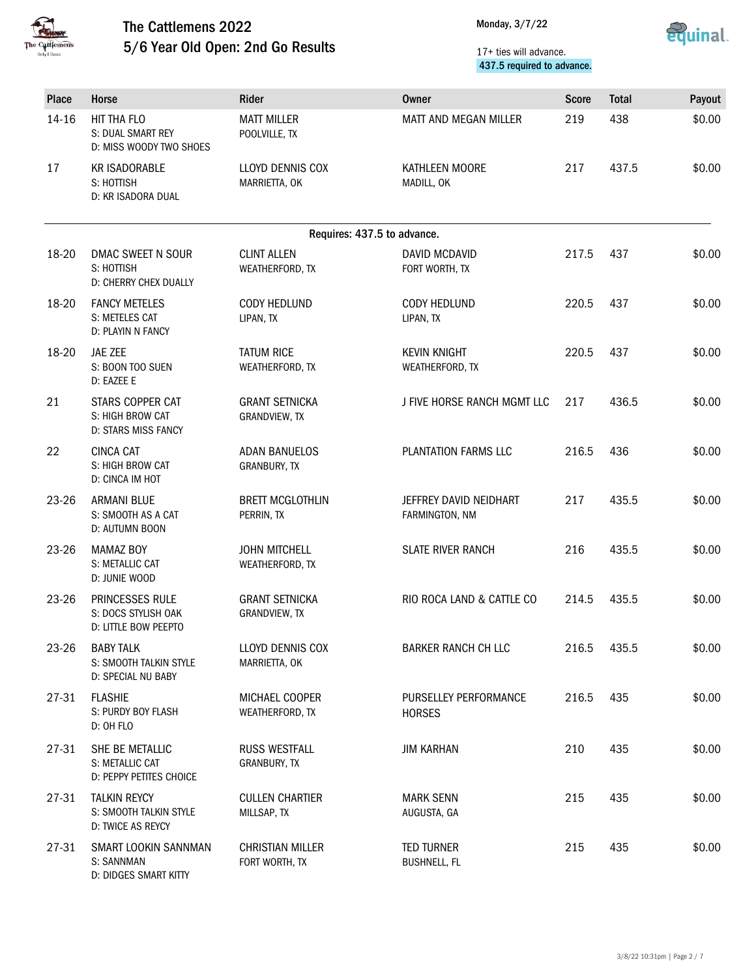



#### 17+ ties will advance. 437.5 required to advance.

| Place | <b>Horse</b>                                                       | <b>Rider</b>                              | Owner                                    | <b>Score</b> | <b>Total</b> | Payout |
|-------|--------------------------------------------------------------------|-------------------------------------------|------------------------------------------|--------------|--------------|--------|
| 14-16 | HIT THA FLO<br>S: DUAL SMART REY<br>D: MISS WOODY TWO SHOES        | <b>MATT MILLER</b><br>POOLVILLE, TX       | MATT AND MEGAN MILLER                    | 219          | 438          | \$0.00 |
| 17    | <b>KR ISADORABLE</b><br>S: HOTTISH<br>D: KR ISADORA DUAL           | LLOYD DENNIS COX<br>MARRIETTA, OK         | KATHLEEN MOORE<br>MADILL, OK             | 217          | 437.5        | \$0.00 |
|       |                                                                    |                                           | Requires: 437.5 to advance.              |              |              |        |
| 18-20 | DMAC SWEET N SOUR<br>S: HOTTISH<br>D: CHERRY CHEX DUALLY           | <b>CLINT ALLEN</b><br>WEATHERFORD, TX     | <b>DAVID MCDAVID</b><br>FORT WORTH, TX   | 217.5        | 437          | \$0.00 |
| 18-20 | <b>FANCY METELES</b><br>S: METELES CAT<br>D: PLAYIN N FANCY        | CODY HEDLUND<br>LIPAN, TX                 | <b>CODY HEDLUND</b><br>LIPAN, TX         | 220.5        | 437          | \$0.00 |
| 18-20 | JAE ZEE<br>S: BOON TOO SUEN<br>D: EAZEE E                          | <b>TATUM RICE</b><br>WEATHERFORD, TX      | <b>KEVIN KNIGHT</b><br>WEATHERFORD, TX   | 220.5        | 437          | \$0.00 |
| 21    | STARS COPPER CAT<br>S: HIGH BROW CAT<br><b>D: STARS MISS FANCY</b> | <b>GRANT SETNICKA</b><br>GRANDVIEW, TX    | J FIVE HORSE RANCH MGMT LLC              | 217          | 436.5        | \$0.00 |
| 22    | <b>CINCA CAT</b><br>S: HIGH BROW CAT<br>D: CINCA IM HOT            | <b>ADAN BANUELOS</b><br>GRANBURY, TX      | PLANTATION FARMS LLC                     | 216.5        | 436          | \$0.00 |
| 23-26 | <b>ARMANI BLUE</b><br>S: SMOOTH AS A CAT<br>D: AUTUMN BOON         | <b>BRETT MCGLOTHLIN</b><br>PERRIN, TX     | JEFFREY DAVID NEIDHART<br>FARMINGTON, NM | 217          | 435.5        | \$0.00 |
| 23-26 | <b>MAMAZ BOY</b><br>S: METALLIC CAT<br>D: JUNIE WOOD               | <b>JOHN MITCHELL</b><br>WEATHERFORD, TX   | <b>SLATE RIVER RANCH</b>                 | 216          | 435.5        | \$0.00 |
| 23-26 | PRINCESSES RULE<br>S: DOCS STYLISH OAK<br>D: LITTLE BOW PEEPTO     | <b>GRANT SETNICKA</b><br>GRANDVIEW, TX    | RIO ROCA LAND & CATTLE CO                | 214.5        | 435.5        | \$0.00 |
| 23-26 | <b>BABY TALK</b><br>S: SMOOTH TALKIN STYLE<br>D: SPECIAL NU BABY   | LLOYD DENNIS COX<br>MARRIETTA, OK         | <b>BARKER RANCH CH LLC</b>               | 216.5        | 435.5        | \$0.00 |
| 27-31 | <b>FLASHIE</b><br>S: PURDY BOY FLASH<br>D: OH FLO                  | MICHAEL COOPER<br>WEATHERFORD, TX         | PURSELLEY PERFORMANCE<br><b>HORSES</b>   | 216.5        | 435          | \$0.00 |
| 27-31 | SHE BE METALLIC<br>S: METALLIC CAT<br>D: PEPPY PETITES CHOICE      | RUSS WESTFALL<br>GRANBURY, TX             | <b>JIM KARHAN</b>                        | 210          | 435          | \$0.00 |
| 27-31 | <b>TALKIN REYCY</b><br>S: SMOOTH TALKIN STYLE<br>D: TWICE AS REYCY | <b>CULLEN CHARTIER</b><br>MILLSAP, TX     | <b>MARK SENN</b><br>AUGUSTA, GA          | 215          | 435          | \$0.00 |
| 27-31 | SMART LOOKIN SANNMAN<br>S: SANNMAN<br>D: DIDGES SMART KITTY        | <b>CHRISTIAN MILLER</b><br>FORT WORTH, TX | <b>TED TURNER</b><br><b>BUSHNELL, FL</b> | 215          | 435          | \$0.00 |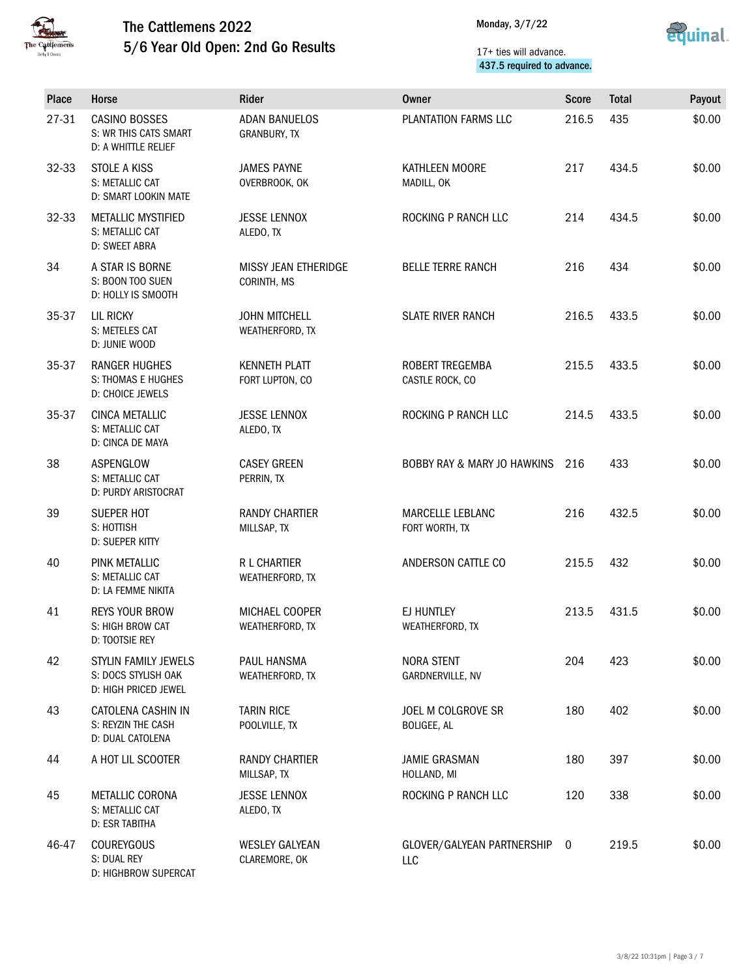



#### 17+ ties will advance. 437.5 required to advance.

| Place | Horse                                                                 | Rider                                   | <b>Owner</b>                             | <b>Score</b> | <b>Total</b> | Payout |
|-------|-----------------------------------------------------------------------|-----------------------------------------|------------------------------------------|--------------|--------------|--------|
| 27-31 | <b>CASINO BOSSES</b><br>S: WR THIS CATS SMART<br>D: A WHITTLE RELIEF  | <b>ADAN BANUELOS</b><br>GRANBURY, TX    | PLANTATION FARMS LLC                     | 216.5        | 435          | \$0.00 |
| 32-33 | STOLE A KISS<br>S: METALLIC CAT<br>D: SMART LOOKIN MATE               | <b>JAMES PAYNE</b><br>OVERBROOK, OK     | KATHLEEN MOORE<br>MADILL, OK             | 217          | 434.5        | \$0.00 |
| 32-33 | METALLIC MYSTIFIED<br>S: METALLIC CAT<br>D: SWEET ABRA                | <b>JESSE LENNOX</b><br>ALEDO. TX        | ROCKING P RANCH LLC                      | 214          | 434.5        | \$0.00 |
| 34    | A STAR IS BORNE<br>S: BOON TOO SUEN<br>D: HOLLY IS SMOOTH             | MISSY JEAN ETHERIDGE<br>CORINTH, MS     | <b>BELLE TERRE RANCH</b>                 | 216          | 434          | \$0.00 |
| 35-37 | <b>LIL RICKY</b><br>S: METELES CAT<br>D: JUNIE WOOD                   | <b>JOHN MITCHELL</b><br>WEATHERFORD, TX | <b>SLATE RIVER RANCH</b>                 | 216.5        | 433.5        | \$0.00 |
| 35-37 | <b>RANGER HUGHES</b><br><b>S: THOMAS E HUGHES</b><br>D: CHOICE JEWELS | <b>KENNETH PLATT</b><br>FORT LUPTON, CO | ROBERT TREGEMBA<br>CASTLE ROCK, CO       | 215.5        | 433.5        | \$0.00 |
| 35-37 | CINCA METALLIC<br>S: METALLIC CAT<br>D: CINCA DE MAYA                 | <b>JESSE LENNOX</b><br>ALEDO, TX        | ROCKING P RANCH LLC                      | 214.5        | 433.5        | \$0.00 |
| 38    | ASPENGLOW<br>S: METALLIC CAT<br>D: PURDY ARISTOCRAT                   | <b>CASEY GREEN</b><br>PERRIN, TX        | BOBBY RAY & MARY JO HAWKINS 216          |              | 433          | \$0.00 |
| 39    | SUEPER HOT<br>S: HOTTISH<br><b>D: SUEPER KITTY</b>                    | <b>RANDY CHARTIER</b><br>MILLSAP, TX    | MARCELLE LEBLANC<br>FORT WORTH, TX       | 216          | 432.5        | \$0.00 |
| 40    | PINK METALLIC<br>S: METALLIC CAT<br>D: LA FEMME NIKITA                | R L CHARTIER<br>WEATHERFORD, TX         | ANDERSON CATTLE CO                       | 215.5        | 432          | \$0.00 |
| 41    | <b>REYS YOUR BROW</b><br>S: HIGH BROW CAT<br>D: TOOTSIE REY           | MICHAEL COOPER<br>WEATHERFORD, TX       | EJ HUNTLEY<br>WEATHERFORD, TX            | 213.5        | 431.5        | \$0.00 |
| 42    | STYLIN FAMILY JEWELS<br>S: DOCS STYLISH OAK<br>D: HIGH PRICED JEWEL   | PAUL HANSMA<br>WEATHERFORD, TX          | <b>NORA STENT</b><br>GARDNERVILLE, NV    | 204          | 423          | \$0.00 |
| 43    | CATOLENA CASHIN IN<br>S: REYZIN THE CASH<br>D: DUAL CATOLENA          | <b>TARIN RICE</b><br>POOLVILLE, TX      | JOEL M COLGROVE SR<br><b>BOLIGEE, AL</b> | 180          | 402          | \$0.00 |
| 44    | A HOT LIL SCOOTER                                                     | <b>RANDY CHARTIER</b><br>MILLSAP, TX    | <b>JAMIE GRASMAN</b><br>HOLLAND, MI      | 180          | 397          | \$0.00 |
| 45    | METALLIC CORONA<br>S: METALLIC CAT<br>D: ESR TABITHA                  | <b>JESSE LENNOX</b><br>ALEDO, TX        | ROCKING P RANCH LLC                      | 120          | 338          | \$0.00 |
| 46-47 | <b>COUREYGOUS</b><br>S: DUAL REY<br>D: HIGHBROW SUPERCAT              | <b>WESLEY GALYEAN</b><br>CLAREMORE, OK  | GLOVER/GALYEAN PARTNERSHIP<br>LLC        | $\mathbf 0$  | 219.5        | \$0.00 |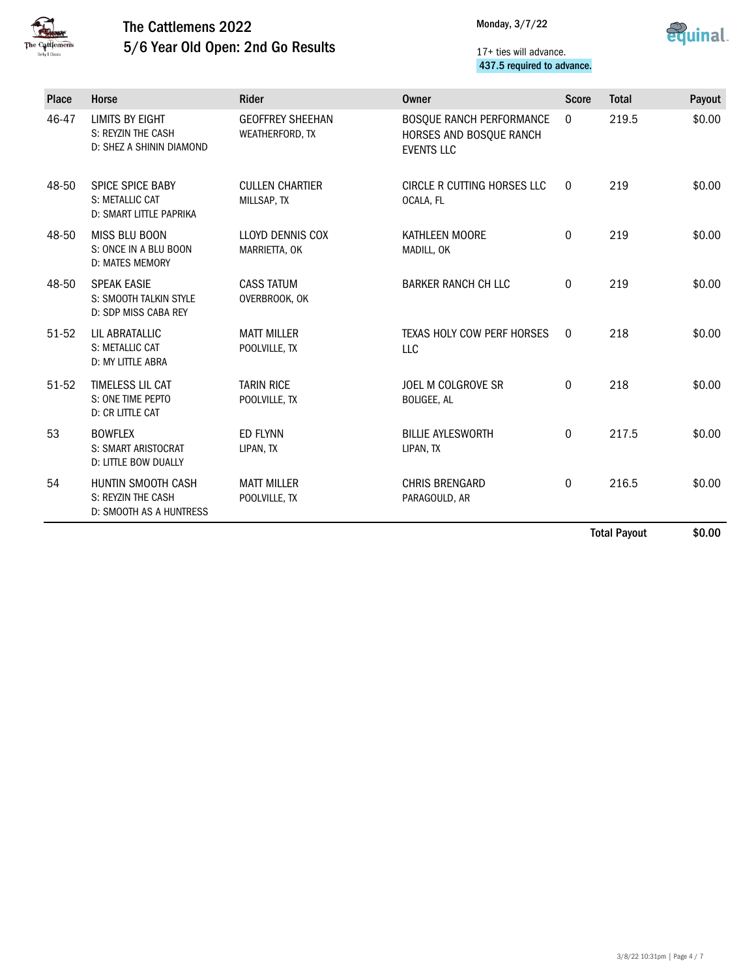



#### 17+ ties will advance. 437.5 required to advance.

| Place | Horse                                                                       | <b>Rider</b>                               | Owner                                                                           | <b>Score</b> | <b>Total</b> | Payout |
|-------|-----------------------------------------------------------------------------|--------------------------------------------|---------------------------------------------------------------------------------|--------------|--------------|--------|
| 46-47 | <b>LIMITS BY EIGHT</b><br>S: REYZIN THE CASH<br>D: SHEZ A SHININ DIAMOND    | <b>GEOFFREY SHEEHAN</b><br>WEATHERFORD, TX | <b>BOSQUE RANCH PERFORMANCE</b><br>HORSES AND BOSQUE RANCH<br><b>EVENTS LLC</b> | $\mathbf{0}$ | 219.5        | \$0.00 |
| 48-50 | <b>SPICE SPICE BABY</b><br>S: METALLIC CAT<br>D: SMART LITTLE PAPRIKA       | <b>CULLEN CHARTIER</b><br>MILLSAP, TX      | CIRCLE R CUTTING HORSES LLC<br>OCALA, FL                                        | $\mathbf{0}$ | 219          | \$0.00 |
| 48-50 | <b>MISS BLU BOON</b><br>S: ONCE IN A BLU BOON<br>D: MATES MEMORY            | LLOYD DENNIS COX<br>MARRIETTA, OK          | KATHLEEN MOORE<br>MADILL, OK                                                    | $\mathbf 0$  | 219          | \$0.00 |
| 48-50 | <b>SPEAK EASIE</b><br>S: SMOOTH TALKIN STYLE<br>D: SDP MISS CABA REY        | <b>CASS TATUM</b><br>OVERBROOK, OK         | <b>BARKER RANCH CH LLC</b>                                                      | $\mathbf{0}$ | 219          | \$0.00 |
| 51-52 | LIL ABRATALLIC<br>S: METALLIC CAT<br>D: MY LITTLE ABRA                      | <b>MATT MILLER</b><br>POOLVILLE, TX        | TEXAS HOLY COW PERF HORSES<br>LLC                                               | $\Omega$     | 218          | \$0.00 |
| 51-52 | TIMELESS LIL CAT<br>S: ONE TIME PEPTO<br><b>D: CR LITTLE CAT</b>            | <b>TARIN RICE</b><br>POOLVILLE, TX         | JOEL M COLGROVE SR<br>BOLIGEE, AL                                               | $\mathbf{0}$ | 218          | \$0.00 |
| 53    | <b>BOWFLEX</b><br><b>S: SMART ARISTOCRAT</b><br><b>D: LITTLE BOW DUALLY</b> | <b>ED FLYNN</b><br>LIPAN, TX               | <b>BILLIE AYLESWORTH</b><br>LIPAN, TX                                           | $\mathbf{0}$ | 217.5        | \$0.00 |
| 54    | HUNTIN SMOOTH CASH<br>S: REYZIN THE CASH<br>D: SMOOTH AS A HUNTRESS         | <b>MATT MILLER</b><br>POOLVILLE, TX        | <b>CHRIS BRENGARD</b><br>PARAGOULD, AR                                          | $\mathbf 0$  | 216.5        | \$0.00 |

Total Payout \$0.00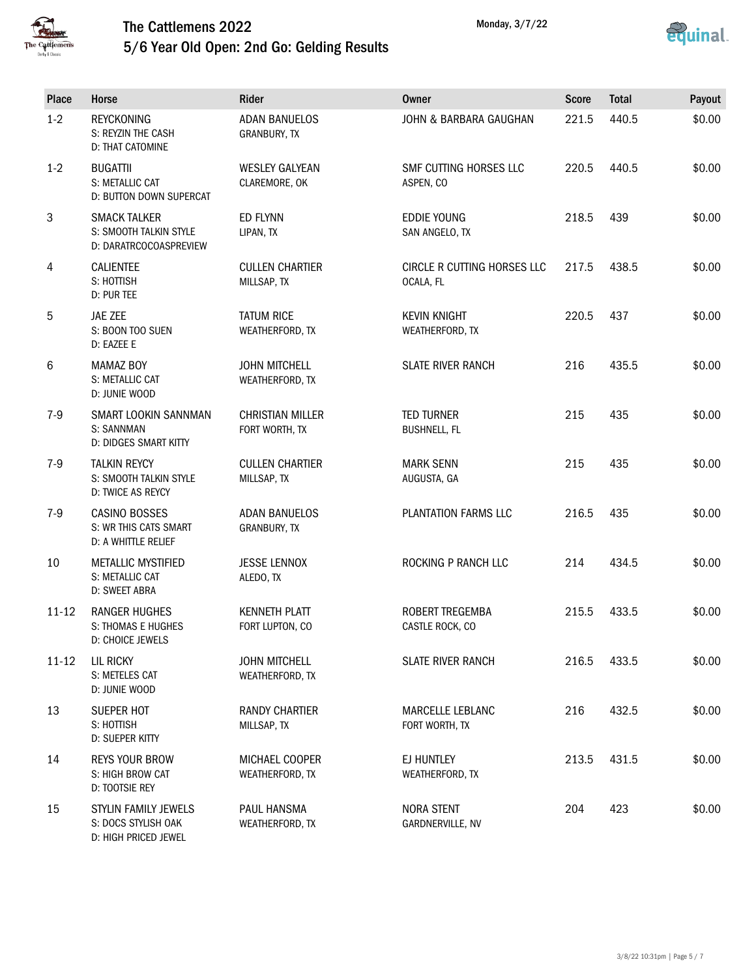



| Place          | Horse                                                                   | Rider                                     | <b>Owner</b>                              | <b>Score</b> | <b>Total</b> | Payout |
|----------------|-------------------------------------------------------------------------|-------------------------------------------|-------------------------------------------|--------------|--------------|--------|
| $1 - 2$        | <b>REYCKONING</b><br>S: REYZIN THE CASH<br>D: THAT CATOMINE             | <b>ADAN BANUELOS</b><br>GRANBURY, TX      | JOHN & BARBARA GAUGHAN                    | 221.5        | 440.5        | \$0.00 |
| $1 - 2$        | <b>BUGATTII</b><br>S: METALLIC CAT<br>D: BUTTON DOWN SUPERCAT           | <b>WESLEY GALYEAN</b><br>CLAREMORE, OK    | SMF CUTTING HORSES LLC<br>ASPEN, CO       | 220.5        | 440.5        | \$0.00 |
| $\mathfrak{Z}$ | <b>SMACK TALKER</b><br>S: SMOOTH TALKIN STYLE<br>D: DARATRCOCOASPREVIEW | <b>ED FLYNN</b><br>LIPAN, TX              | <b>EDDIE YOUNG</b><br>SAN ANGELO, TX      | 218.5        | 439          | \$0.00 |
| 4              | <b>CALIENTEE</b><br>S: HOTTISH<br>D: PUR TEE                            | <b>CULLEN CHARTIER</b><br>MILLSAP, TX     | CIRCLE R CUTTING HORSES LLC<br>OCALA, FL  | 217.5        | 438.5        | \$0.00 |
| 5              | JAE ZEE<br>S: BOON TOO SUEN<br>D: EAZEE E                               | <b>TATUM RICE</b><br>WEATHERFORD, TX      | <b>KEVIN KNIGHT</b><br>WEATHERFORD, TX    | 220.5        | 437          | \$0.00 |
| 6              | <b>MAMAZ BOY</b><br>S: METALLIC CAT<br>D: JUNIE WOOD                    | <b>JOHN MITCHELL</b><br>WEATHERFORD, TX   | <b>SLATE RIVER RANCH</b>                  | 216          | 435.5        | \$0.00 |
| $7-9$          | SMART LOOKIN SANNMAN<br>S: SANNMAN<br>D: DIDGES SMART KITTY             | <b>CHRISTIAN MILLER</b><br>FORT WORTH, TX | <b>TED TURNER</b><br><b>BUSHNELL, FL</b>  | 215          | 435          | \$0.00 |
| $7-9$          | <b>TALKIN REYCY</b><br>S: SMOOTH TALKIN STYLE<br>D: TWICE AS REYCY      | <b>CULLEN CHARTIER</b><br>MILLSAP, TX     | <b>MARK SENN</b><br>AUGUSTA, GA           | 215          | 435          | \$0.00 |
| $7-9$          | CASINO BOSSES<br>S: WR THIS CATS SMART<br>D: A WHITTLE RELIEF           | <b>ADAN BANUELOS</b><br>GRANBURY, TX      | PLANTATION FARMS LLC                      | 216.5        | 435          | \$0.00 |
| 10             | <b>METALLIC MYSTIFIED</b><br>S: METALLIC CAT<br>D: SWEET ABRA           | <b>JESSE LENNOX</b><br>ALEDO, TX          | ROCKING P RANCH LLC                       | 214          | 434.5        | \$0.00 |
| $11 - 12$      | <b>RANGER HUGHES</b><br>S: THOMAS E HUGHES<br>D: CHOICE JEWELS          | <b>KENNETH PLATT</b><br>FORT LUPTON, CO   | <b>ROBERT TREGEMBA</b><br>CASTLE ROCK, CO | 215.5        | 433.5        | \$0.00 |
| $11 - 12$      | <b>LIL RICKY</b><br>S: METELES CAT<br>D: JUNIE WOOD                     | <b>JOHN MITCHELL</b><br>WEATHERFORD, TX   | <b>SLATE RIVER RANCH</b>                  | 216.5        | 433.5        | \$0.00 |
| 13             | SUEPER HOT<br>S: HOTTISH<br>D: SUEPER KITTY                             | <b>RANDY CHARTIER</b><br>MILLSAP, TX      | MARCELLE LEBLANC<br>FORT WORTH, TX        | 216          | 432.5        | \$0.00 |
| 14             | <b>REYS YOUR BROW</b><br>S: HIGH BROW CAT<br>D: TOOTSIE REY             | MICHAEL COOPER<br>WEATHERFORD, TX         | EJ HUNTLEY<br>WEATHERFORD, TX             | 213.5        | 431.5        | \$0.00 |
| 15             | STYLIN FAMILY JEWELS<br>S: DOCS STYLISH OAK<br>D: HIGH PRICED JEWEL     | PAUL HANSMA<br>WEATHERFORD, TX            | <b>NORA STENT</b><br>GARDNERVILLE, NV     | 204          | 423          | \$0.00 |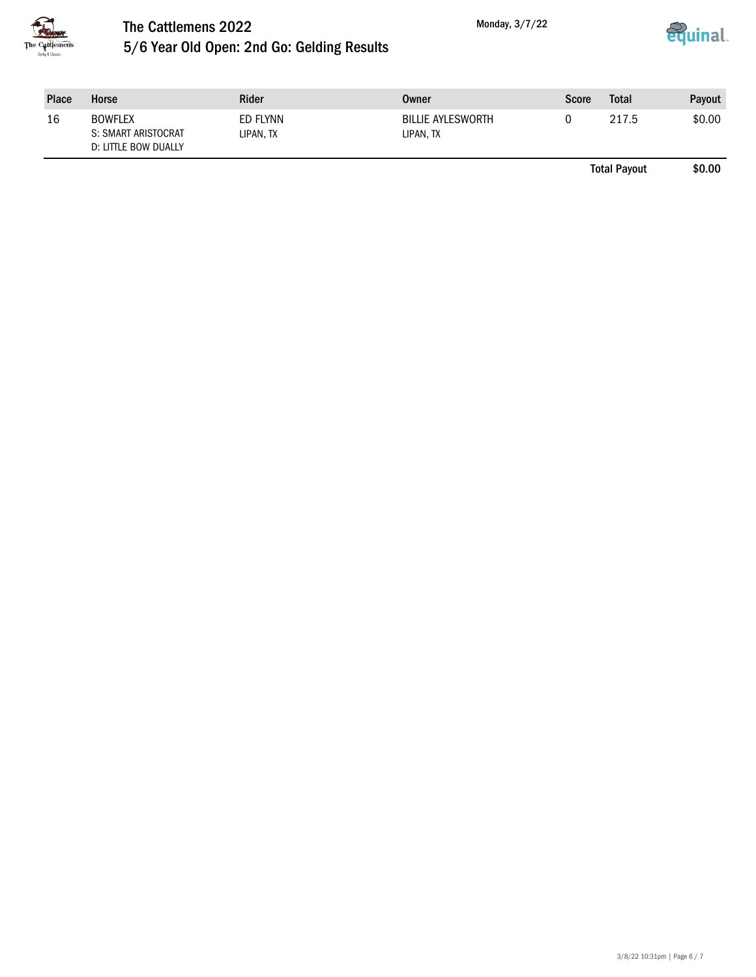



| <b>Place</b> | Horse                                                         | Rider                 | Owner                                 | Score | Total | Payout |
|--------------|---------------------------------------------------------------|-----------------------|---------------------------------------|-------|-------|--------|
| 16           | <b>BOWFLEX</b><br>S: SMART ARISTOCRAT<br>D: LITTLE BOW DUALLY | ED FLYNN<br>LIPAN, TX | <b>BILLIE AYLESWORTH</b><br>LIPAN, TX |       | 217.5 | \$0.00 |

Total Payout \$0.00